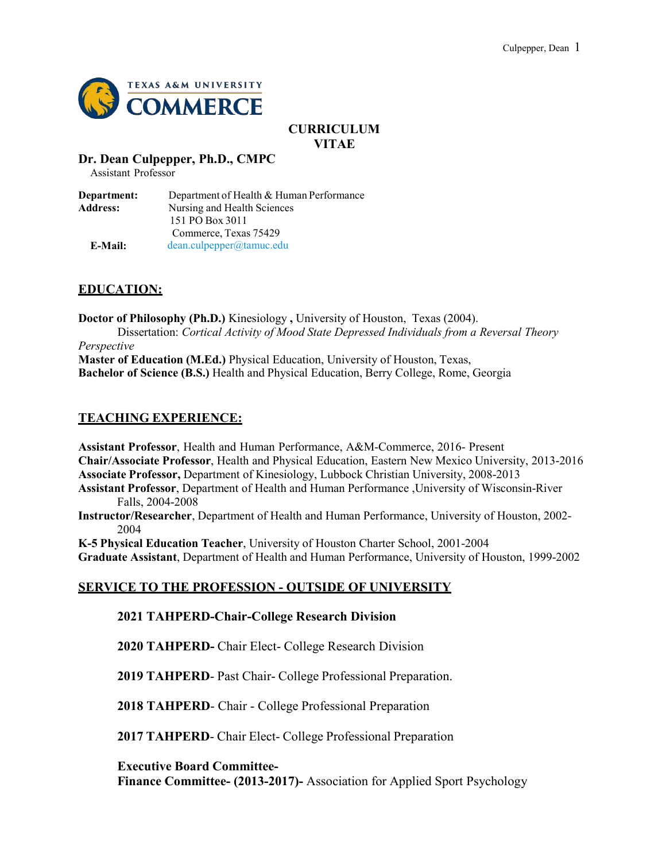

# **CURRICULUM VITAE**

#### **Dr. Dean Culpepper, Ph.D., CMPC**

Assistant Professor

**Department:** Department of Health & Human Performance Address: Nursing and Health Sciences 151 PO Box 3011 Commerce, Texas 75429 **E-Mail:** [dean.culpepper@tamuc.edu](mailto:dean.culpepper@tamuc.edu)

# **EDUCATION:**

**Doctor of Philosophy (Ph.D.)** Kinesiology **,** University of Houston, Texas (2004). Dissertation: *Cortical Activity of Mood State Depressed Individuals from a Reversal Theory*

*Perspective* **Master of Education (M.Ed.)** Physical Education, University of Houston, Texas, **Bachelor of Science (B.S.)** Health and Physical Education, Berry College, Rome, Georgia

## **TEACHING EXPERIENCE:**

**Assistant Professor**, Health and Human Performance, A&M-Commerce, 2016- Present **Chair/Associate Professor**, Health and Physical Education, Eastern New Mexico University, 2013-2016 **Associate Professor,** Department of Kinesiology, Lubbock Christian University, 2008-2013 **Assistant Professor**, Department of Health and Human Performance ,University of Wisconsin-River Falls, 2004-2008

**Instructor/Researcher**, Department of Health and Human Performance, University of Houston, 2002- 2004

**K-5 Physical Education Teacher**, University of Houston Charter School, 2001-2004

**Graduate Assistant**, Department of Health and Human Performance, University of Houston, 1999-2002

# **SERVICE TO THE PROFESSION - OUTSIDE OF UNIVERSITY**

**2021 TAHPERD-Chair-College Research Division**

**2020 TAHPERD-** Chair Elect- College Research Division

**2019 TAHPERD**- Past Chair- College Professional Preparation.

**2018 TAHPERD**- Chair - College Professional Preparation

**2017 TAHPERD**- Chair Elect- College Professional Preparation

**Executive Board Committee-**

**Finance Committee- (2013-2017)-** Association for Applied Sport Psychology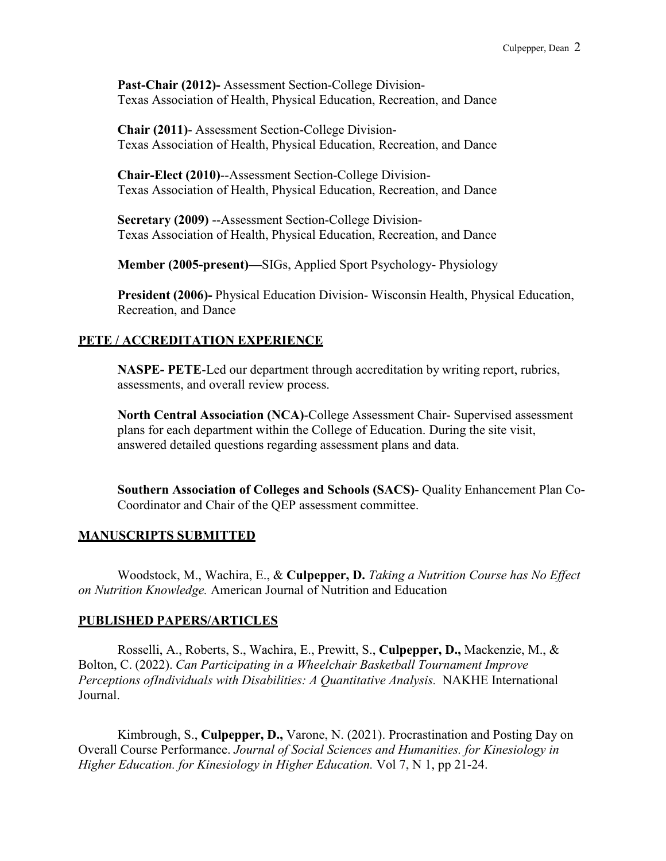**Past-Chair (2012)-** Assessment Section-College Division-Texas Association of Health, Physical Education, Recreation, and Dance

**Chair (2011)**- Assessment Section-College Division-Texas Association of Health, Physical Education, Recreation, and Dance

**Chair-Elect (2010)**--Assessment Section-College Division-Texas Association of Health, Physical Education, Recreation, and Dance

**Secretary (2009)** --Assessment Section-College Division-Texas Association of Health, Physical Education, Recreation, and Dance

**Member (2005-present)—**SIGs, Applied Sport Psychology- Physiology

**President (2006)-** Physical Education Division- Wisconsin Health, Physical Education, Recreation, and Dance

#### **PETE / ACCREDITATION EXPERIENCE**

**NASPE- PETE**-Led our department through accreditation by writing report, rubrics, assessments, and overall review process.

**North Central Association (NCA)**-College Assessment Chair- Supervised assessment plans for each department within the College of Education. During the site visit, answered detailed questions regarding assessment plans and data.

**Southern Association of Colleges and Schools (SACS)**- Quality Enhancement Plan Co-Coordinator and Chair of the QEP assessment committee.

#### **MANUSCRIPTS SUBMITTED**

Woodstock, M., Wachira, E., & **Culpepper, D.** *Taking a Nutrition Course has No Effect on Nutrition Knowledge.* American Journal of Nutrition and Education

#### **PUBLISHED PAPERS/ARTICLES**

Rosselli, A., Roberts, S., Wachira, E., Prewitt, S., **Culpepper, D.,** Mackenzie, M., & Bolton, C. (2022). *Can Participating in a Wheelchair Basketball Tournament Improve Perceptions ofIndividuals with Disabilities: A Quantitative Analysis.* NAKHE International Journal.

Kimbrough, S., **Culpepper, D.,** Varone, N. (2021). Procrastination and Posting Day on Overall Course Performance. *Journal of Social Sciences and Humanities. for Kinesiology in Higher Education. for Kinesiology in Higher Education.* Vol 7, N 1, pp 21-24.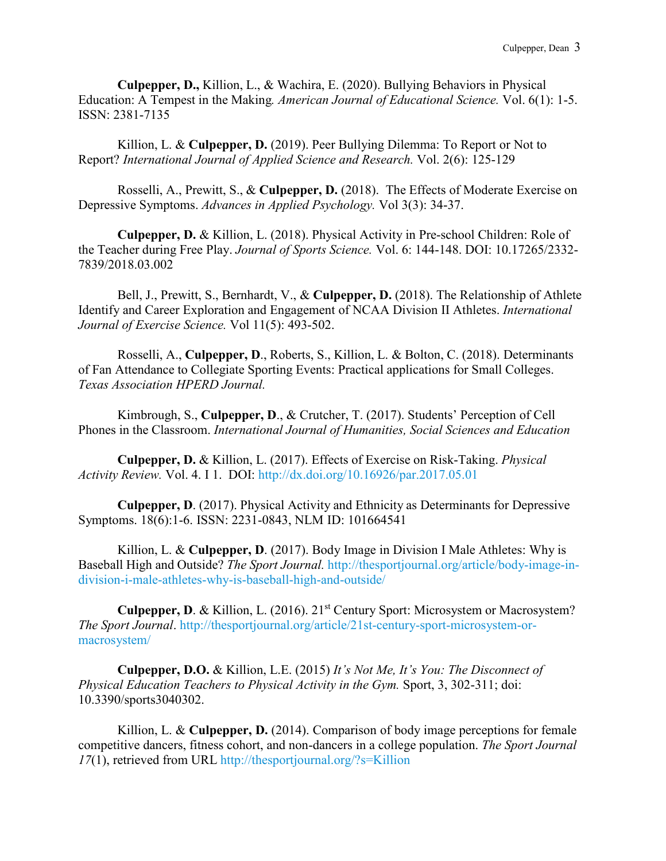**Culpepper, D.,** Killion, L., & Wachira, E. (2020). Bullying Behaviors in Physical Education: A Tempest in the Making*. American Journal of Educational Science.* Vol. 6(1): 1-5. ISSN: 2381-7135

Killion, L. & **Culpepper, D.** (2019). Peer Bullying Dilemma: To Report or Not to Report? *International Journal of Applied Science and Research.* Vol. 2(6): 125-129

Rosselli, A., Prewitt, S., & **Culpepper, D.** (2018). The Effects of Moderate Exercise on Depressive Symptoms. *Advances in Applied Psychology.* Vol 3(3): 34-37.

**Culpepper, D.** & Killion, L. (2018). Physical Activity in Pre-school Children: Role of the Teacher during Free Play. *Journal of Sports Science.* Vol. 6: 144-148. DOI: 10.17265/2332- 7839/2018.03.002

Bell, J., Prewitt, S., Bernhardt, V., & **Culpepper, D.** (2018). The Relationship of Athlete Identify and Career Exploration and Engagement of NCAA Division II Athletes. *International Journal of Exercise Science.* Vol 11(5): 493-502.

Rosselli, A., **Culpepper, D**., Roberts, S., Killion, L. & Bolton, C. (2018). Determinants of Fan Attendance to Collegiate Sporting Events: Practical applications for Small Colleges. *Texas Association HPERD Journal.*

Kimbrough, S., **Culpepper, D**., & Crutcher, T. (2017). Students' Perception of Cell Phones in the Classroom. *International Journal of Humanities, Social Sciences and Education*

**Culpepper, D.** & Killion, L. (2017). Effects of Exercise on Risk-Taking. *Physical Activity Review.* Vol. 4. I 1. DOI:<http://dx.doi.org/10.16926/par.2017.05.01>

**Culpepper, D**. (2017). Physical Activity and Ethnicity as Determinants for Depressive Symptoms. 18(6):1-6. ISSN: 2231-0843, NLM ID: 101664541

Killion, L. & **Culpepper, D**. (2017). Body Image in Division I Male Athletes: Why is Baseball High and Outside? *The Sport Journal.* [http://thesportjournal.org/article/body-image-in](http://thesportjournal.org/article/body-image-in-division-i-male-athletes-why-is-baseball-high-and-outside/)[division-i-male-athletes-why-is-baseball-high-and-outside/](http://thesportjournal.org/article/body-image-in-division-i-male-athletes-why-is-baseball-high-and-outside/)

**Culpepper, D**. & Killion, L. (2016). 21st Century Sport: Microsystem or Macrosystem? *The Sport Journal*. [http://thesportjournal.org/article/21st-century-sport-microsystem-or](http://thesportjournal.org/article/21st-century-sport-microsystem-or-macrosystem/)[macrosystem/](http://thesportjournal.org/article/21st-century-sport-microsystem-or-macrosystem/)

**Culpepper, D.O.** & Killion, L.E. (2015) *It's Not Me, It's You: The Disconnect of Physical Education Teachers to Physical Activity in the Gym.* Sport, 3, 302-311; doi: 10.3390/sports3040302.

Killion, L. & **Culpepper, D.** (2014). Comparison of body image perceptions for female competitive dancers, fitness cohort, and non-dancers in a college population. *The Sport Journal 17*(1), retrieved from URL <http://thesportjournal.org/?s=Killion>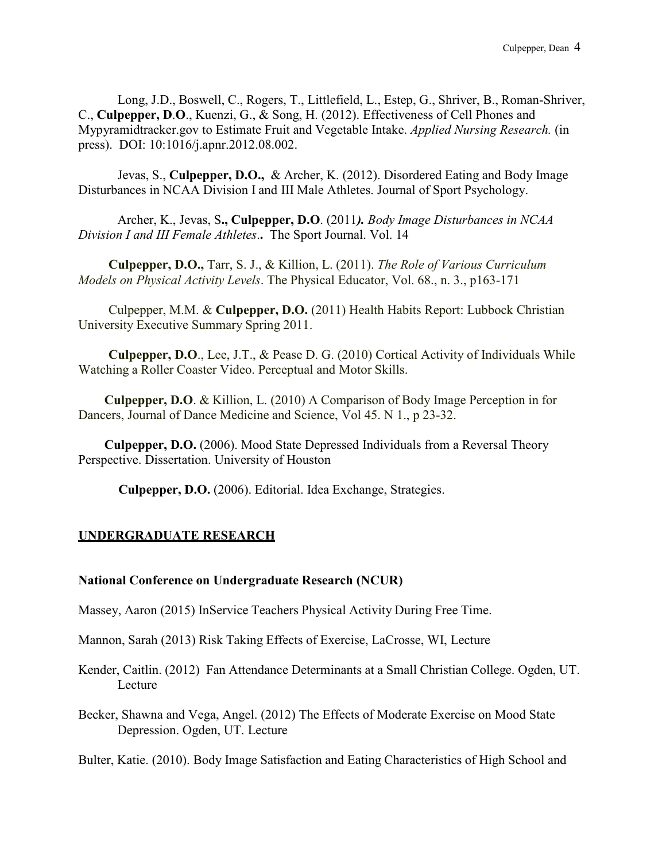Long, J.D., Boswell, C., Rogers, T., Littlefield, L., Estep, G., Shriver, B., Roman-Shriver, C., **Culpepper, D**.**O**., Kuenzi, G., & Song, H. (2012). Effectiveness of Cell Phones and Mypyramidtracker.gov to Estimate Fruit and Vegetable Intake. *Applied Nursing Research.* (in press). DOI: 10:1016/j.apnr.2012.08.002.

Jevas, S., **Culpepper, D.O.,** & Archer, K. (2012). Disordered Eating and Body Image Disturbances in NCAA Division I and III Male Athletes. Journal of Sport Psychology.

Archer, K., Jevas, S**., Culpepper, D.O**. (2011*). [Body Image Disturbances in NCAA](http://thesportjournal.org/article/body-image-disturbances-ncaa-division-i-and-iii-female-athletes) Division I and III [Female Athletes](http://thesportjournal.org/article/body-image-disturbances-ncaa-division-i-and-iii-female-athletes)*.**.** The Sport Journal. Vol. 14

**Culpepper, D.O.,** Tarr, S. J., & Killion, L. (2011). *The Role of Various Curriculum Models on Physical Activity Levels*. The Physical Educator, Vol. 68., n. 3., p163-171

Culpepper, M.M. & **Culpepper, D.O.** (2011) Health Habits Report: Lubbock Christian University Executive Summary Spring 2011.

**Culpepper, D.O**., Lee, J.T., & Pease D. G. (2010) Cortical Activity of Individuals While Watching a Roller Coaster Video. Perceptual and Motor Skills.

**Culpepper, D.O**. & Killion, L. (2010) A Comparison of Body Image Perception in for Dancers, Journal of Dance Medicine and Science, Vol 45. N 1., p 23-32.

**Culpepper, D.O.** (2006). Mood State Depressed Individuals from a Reversal Theory Perspective. Dissertation. University of Houston

**Culpepper, D.O.** (2006). Editorial. Idea Exchange, Strategies.

#### **UNDERGRADUATE RESEARCH**

#### **National Conference on Undergraduate Research (NCUR)**

Massey, Aaron (2015) InService Teachers Physical Activity During Free Time.

Mannon, Sarah (2013) Risk Taking Effects of Exercise, LaCrosse, WI, Lecture

Kender, Caitlin. (2012) Fan Attendance Determinants at a Small Christian College. Ogden, UT. Lecture

Becker, Shawna and Vega, Angel. (2012) The Effects of Moderate Exercise on Mood State Depression. Ogden, UT. Lecture

Bulter, Katie. (2010). Body Image Satisfaction and Eating Characteristics of High School and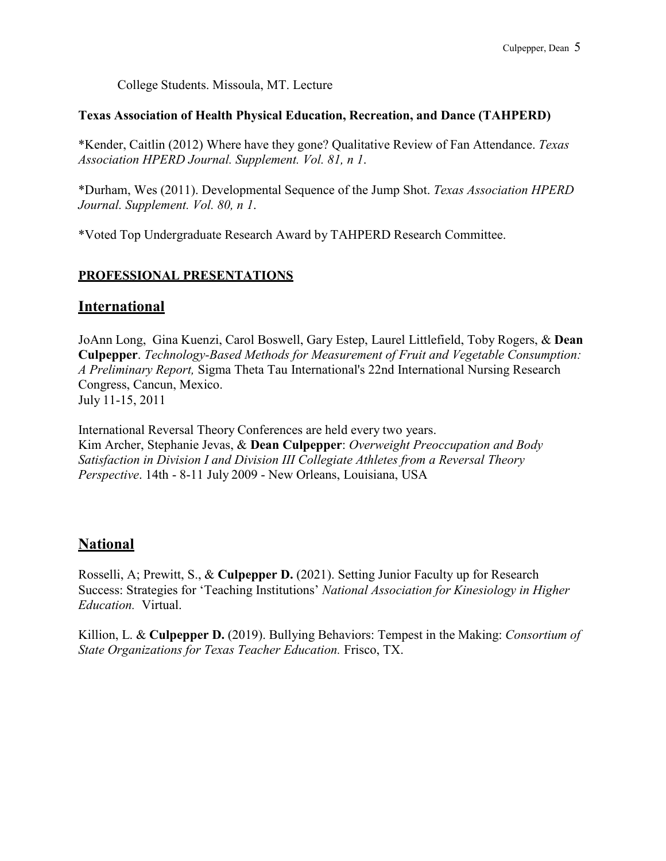College Students. Missoula, MT. Lecture

#### **Texas Association of Health Physical Education, Recreation, and Dance (TAHPERD)**

\*Kender, Caitlin (2012) Where have they gone? Qualitative Review of Fan Attendance. *Texas Association HPERD Journal. Supplement. Vol. 81, n 1*.

\*Durham, Wes (2011). Developmental Sequence of the Jump Shot. *Texas Association HPERD Journal. Supplement. Vol. 80, n 1*.

\*Voted Top Undergraduate Research Award by TAHPERD Research Committee.

#### **PROFESSIONAL PRESENTATIONS**

## **International**

JoAnn Long, Gina Kuenzi, Carol Boswell, Gary Estep, Laurel Littlefield, Toby Rogers, & **Dean Culpepper**. *Technology-Based Methods for Measurement of Fruit and Vegetable Consumption: A Preliminary Report,* Sigma Theta Tau International's 22nd International Nursing Research Congress, Cancun, Mexico. July 11-15, 2011

International Reversal Theory Conferences are held every two years. Kim Archer, Stephanie Jevas, & **Dean Culpepper**: *Overweight Preoccupation and Body Satisfaction in Division I and Division III Collegiate Athletes from a Reversal Theory Perspective*. 14th - 8-11 July 2009 - New Orleans, Louisiana, USA

## **National**

Rosselli, A; Prewitt, S., & **Culpepper D.** (2021). Setting Junior Faculty up for Research Success: Strategies for 'Teaching Institutions' *National Association for Kinesiology in Higher Education.* Virtual.

Killion, L. & **Culpepper D.** (2019). Bullying Behaviors: Tempest in the Making: *Consortium of State Organizations for Texas Teacher Education.* Frisco, TX.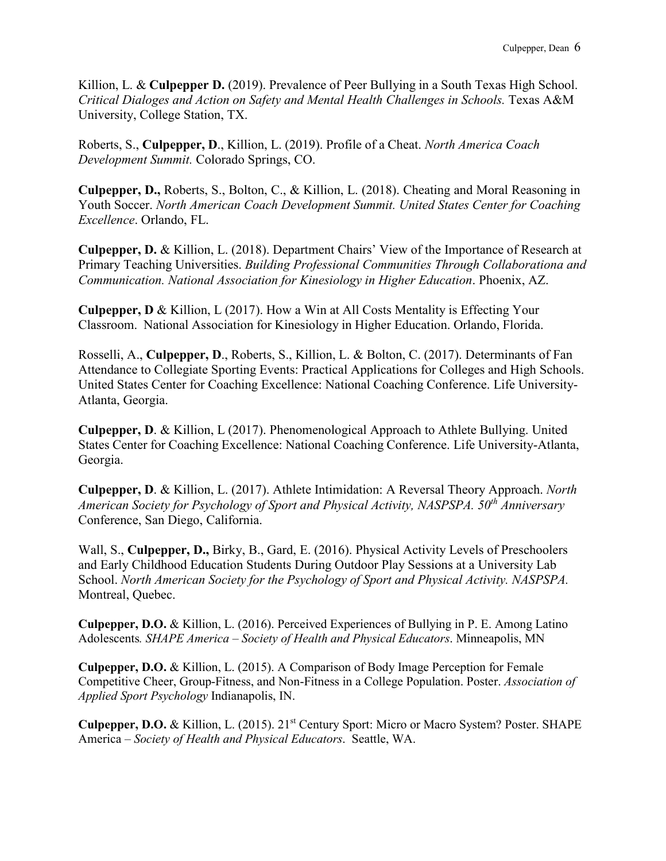Killion, L. & **Culpepper D.** (2019). Prevalence of Peer Bullying in a South Texas High School. *Critical Dialoges and Action on Safety and Mental Health Challenges in Schools.* Texas A&M University, College Station, TX.

Roberts, S., **Culpepper, D**., Killion, L. (2019). Profile of a Cheat. *North America Coach Development Summit.* Colorado Springs, CO.

**Culpepper, D.,** Roberts, S., Bolton, C., & Killion, L. (2018). Cheating and Moral Reasoning in Youth Soccer. *North American Coach Development Summit. United States Center for Coaching Excellence*. Orlando, FL.

**Culpepper, D.** & Killion, L. (2018). Department Chairs' View of the Importance of Research at Primary Teaching Universities. *Building Professional Communities Through Collaborationa and Communication. National Association for Kinesiology in Higher Education*. Phoenix, AZ.

**Culpepper, D** & Killion, L (2017). How a Win at All Costs Mentality is Effecting Your Classroom. National Association for Kinesiology in Higher Education. Orlando, Florida.

Rosselli, A., **Culpepper, D**., Roberts, S., Killion, L. & Bolton, C. (2017). Determinants of Fan Attendance to Collegiate Sporting Events: Practical Applications for Colleges and High Schools. United States Center for Coaching Excellence: National Coaching Conference. Life University-Atlanta, Georgia.

**Culpepper, D**. & Killion, L (2017). Phenomenological Approach to Athlete Bullying. United States Center for Coaching Excellence: National Coaching Conference. Life University-Atlanta, Georgia.

**Culpepper, D**. & Killion, L. (2017). Athlete Intimidation: A Reversal Theory Approach. *North American Society for Psychology of Sport and Physical Activity, NASPSPA. 50th Anniversary* Conference, San Diego, California.

Wall, S., **Culpepper, D.,** Birky, B., Gard, E. (2016). Physical Activity Levels of Preschoolers and Early Childhood Education Students During Outdoor Play Sessions at a University Lab School. *North American Society for the Psychology of Sport and Physical Activity. NASPSPA.* Montreal, Quebec.

**Culpepper, D.O.** & Killion, L. (2016). Perceived Experiences of Bullying in P. E. Among Latino Adolescents*. SHAPE America – Society of Health and Physical Educators*. Minneapolis, MN

**Culpepper, D.O.** & Killion, L. (2015). A Comparison of Body Image Perception for Female Competitive Cheer, Group-Fitness, and Non-Fitness in a College Population. Poster. *Association of Applied Sport Psychology* Indianapolis, IN.

**Culpepper, D.O.** & Killion, L. (2015). 21st Century Sport: Micro or Macro System? Poster. SHAPE America *– Society of Health and Physical Educators*. Seattle, WA.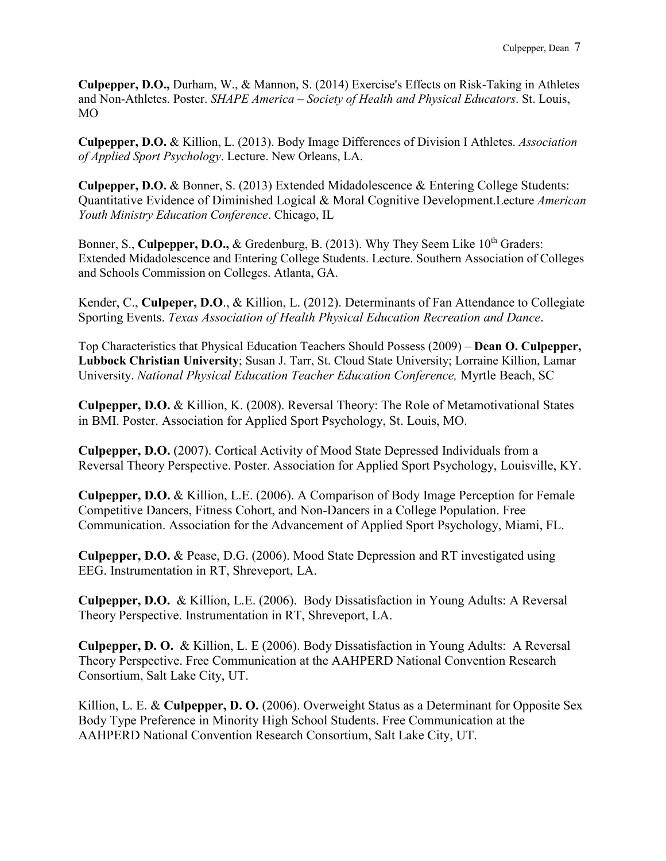**Culpepper, D.O.,** Durham, W., & Mannon, S. (2014) Exercise's Effects on Risk-Taking in Athletes and Non-Athletes. Poster. *SHAPE America – Society of Health and Physical Educators*. St. Louis, MO

**Culpepper, D.O.** & Killion, L. (2013). Body Image Differences of Division I Athletes. *Association of Applied Sport Psychology*. Lecture. New Orleans, LA.

**Culpepper, D.O.** & Bonner, S. (2013) Extended Midadolescence & Entering College Students: Quantitative Evidence of Diminished Logical & Moral Cognitive Development.Lecture *American Youth Ministry Education Conference*. Chicago, IL

Bonner, S., **Culpepper, D.O., &** Gredenburg, B. (2013). Why They Seem Like 10<sup>th</sup> Graders: Extended Midadolescence and Entering College Students. Lecture. Southern Association of Colleges and Schools Commission on Colleges. Atlanta, GA.

Kender, C., **Culpeper, D.O**., & Killion, L. (2012). Determinants of Fan Attendance to Collegiate Sporting Events. *Texas Association of Health Physical Education Recreation and Dance*.

Top Characteristics that Physical Education Teachers Should Possess (2009) – **Dean O. Culpepper, Lubbock Christian University**; Susan J. Tarr, St. Cloud State University; Lorraine Killion, Lamar University. *National Physical Education Teacher Education Conference,* Myrtle Beach, SC

**Culpepper, D.O.** & Killion, K. (2008). Reversal Theory: The Role of Metamotivational States in BMI. Poster. Association for Applied Sport Psychology, St. Louis, MO.

**Culpepper, D.O.** (2007). Cortical Activity of Mood State Depressed Individuals from a Reversal Theory Perspective. Poster. Association for Applied Sport Psychology, Louisville, KY.

**Culpepper, D.O.** & Killion, L.E. (2006). A Comparison of Body Image Perception for Female Competitive Dancers, Fitness Cohort, and Non-Dancers in a College Population. Free Communication. Association for the Advancement of Applied Sport Psychology, Miami, FL.

**Culpepper, D.O.** & Pease, D.G. (2006). Mood State Depression and RT investigated using EEG. Instrumentation in RT, Shreveport, LA.

**Culpepper, D.O.** & Killion, L.E. (2006). Body Dissatisfaction in Young Adults: A Reversal Theory Perspective. Instrumentation in RT, Shreveport, LA.

**Culpepper, D. O.** & Killion, L. E (2006). Body Dissatisfaction in Young Adults: A Reversal Theory Perspective. Free Communication at the AAHPERD National Convention Research Consortium, Salt Lake City, UT.

Killion, L. E. & **Culpepper, D. O.** (2006). Overweight Status as a Determinant for Opposite Sex Body Type Preference in Minority High School Students. Free Communication at the AAHPERD National Convention Research Consortium, Salt Lake City, UT.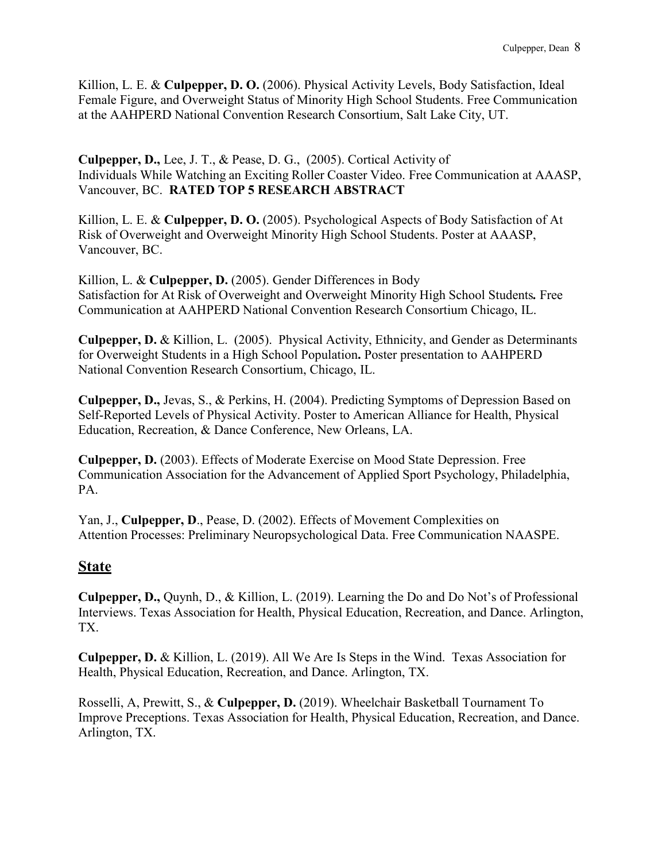Killion, L. E. & **Culpepper, D. O.** (2006). Physical Activity Levels, Body Satisfaction, Ideal Female Figure, and Overweight Status of Minority High School Students. Free Communication at the AAHPERD National Convention Research Consortium, Salt Lake City, UT.

**Culpepper, D.,** Lee, J. T., & Pease, D. G., (2005). Cortical Activity of Individuals While Watching an Exciting Roller Coaster Video. Free Communication at AAASP, Vancouver, BC. **RATED TOP 5 RESEARCH ABSTRACT**

Killion, L. E. & **Culpepper, D. O.** (2005). Psychological Aspects of Body Satisfaction of At Risk of Overweight and Overweight Minority High School Students. Poster at AAASP, Vancouver, BC.

Killion, L. & **Culpepper, D.** (2005). Gender Differences in Body Satisfaction for At Risk of Overweight and Overweight Minority High School Students*.* Free Communication at AAHPERD National Convention Research Consortium Chicago, IL.

**Culpepper, D.** & Killion, L. (2005). Physical Activity, Ethnicity, and Gender as Determinants for Overweight Students in a High School Population**.** Poster presentation to AAHPERD National Convention Research Consortium, Chicago, IL.

**Culpepper, D.,** Jevas, S., & Perkins, H. (2004). Predicting Symptoms of Depression Based on Self-Reported Levels of Physical Activity. Poster to American Alliance for Health, Physical Education, Recreation, & Dance Conference, New Orleans, LA.

**Culpepper, D.** (2003). Effects of Moderate Exercise on Mood State Depression. Free Communication Association for the Advancement of Applied Sport Psychology, Philadelphia, PA.

Yan, J., **Culpepper, D**., Pease, D. (2002). Effects of Movement Complexities on Attention Processes: Preliminary Neuropsychological Data. Free Communication NAASPE.

# **State**

**Culpepper, D.,** Quynh, D., & Killion, L. (2019). Learning the Do and Do Not's of Professional Interviews. Texas Association for Health, Physical Education, Recreation, and Dance. Arlington, TX.

**Culpepper, D.** & Killion, L. (2019). All We Are Is Steps in the Wind. Texas Association for Health, Physical Education, Recreation, and Dance. Arlington, TX.

Rosselli, A, Prewitt, S., & **Culpepper, D.** (2019). Wheelchair Basketball Tournament To Improve Preceptions. Texas Association for Health, Physical Education, Recreation, and Dance. Arlington, TX.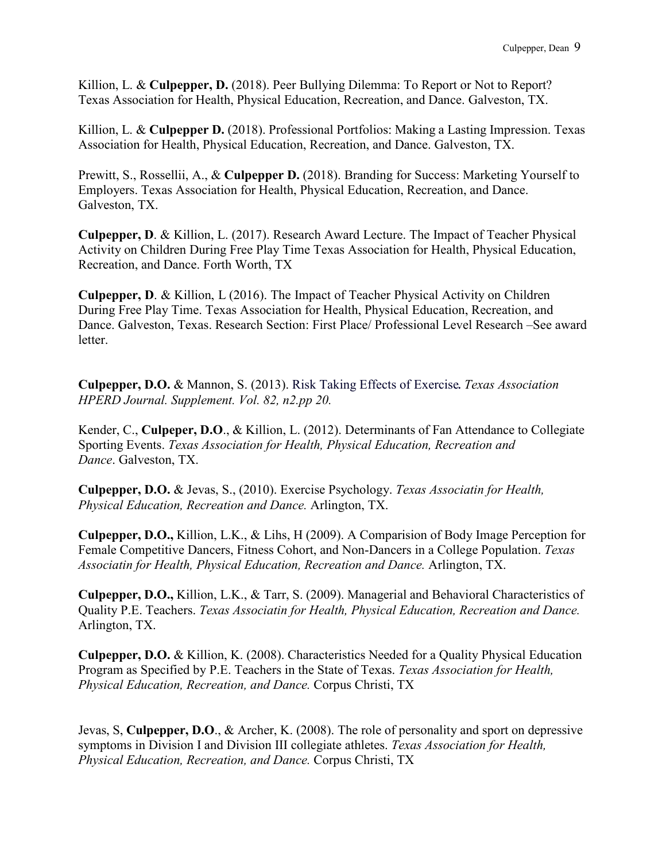Killion, L. & **Culpepper, D.** (2018). Peer Bullying Dilemma: To Report or Not to Report? Texas Association for Health, Physical Education, Recreation, and Dance. Galveston, TX.

Killion, L. & **Culpepper D.** (2018). Professional Portfolios: Making a Lasting Impression. Texas Association for Health, Physical Education, Recreation, and Dance. Galveston, TX.

Prewitt, S., Rossellii, A., & **Culpepper D.** (2018). Branding for Success: Marketing Yourself to Employers. Texas Association for Health, Physical Education, Recreation, and Dance. Galveston, TX.

**Culpepper, D**. & Killion, L. (2017). Research Award Lecture. The Impact of Teacher Physical Activity on Children During Free Play Time Texas Association for Health, Physical Education, Recreation, and Dance. Forth Worth, TX

**Culpepper, D**. & Killion, L (2016). The Impact of Teacher Physical Activity on Children During Free Play Time. Texas Association for Health, Physical Education, Recreation, and Dance. Galveston, Texas. Research Section: First Place/ Professional Level Research –See award letter.

**Culpepper, D.O.** & Mannon, S. (2013). Risk Taking Effects of Exercise*. Texas Association HPERD Journal. Supplement. Vol. 82, n2.pp 20.*

Kender, C., **Culpeper, D.O**., & Killion, L. (2012). Determinants of Fan Attendance to Collegiate Sporting Events. *Texas Association for Health, Physical Education, Recreation and Dance*. Galveston, TX.

**Culpepper, D.O.** & Jevas, S., (2010). Exercise Psychology. *Texas Associatin for Health, Physical Education, Recreation and Dance.* Arlington, TX.

**Culpepper, D.O.,** Killion, L.K., & Lihs, H (2009). A Comparision of Body Image Perception for Female Competitive Dancers, Fitness Cohort, and Non-Dancers in a College Population. *Texas Associatin for Health, Physical Education, Recreation and Dance.* Arlington, TX.

**Culpepper, D.O.,** Killion, L.K., & Tarr, S. (2009). Managerial and Behavioral Characteristics of Quality P.E. Teachers. *Texas Associatin for Health, Physical Education, Recreation and Dance.* Arlington, TX.

**Culpepper, D.O.** & Killion, K. (2008). Characteristics Needed for a Quality Physical Education Program as Specified by P.E. Teachers in the State of Texas. *Texas Association for Health, Physical Education, Recreation, and Dance.* Corpus Christi, TX

Jevas, S, **Culpepper, D.O**., & Archer, K. (2008). The role of personality and sport on depressive symptoms in Division I and Division III collegiate athletes. *Texas Association for Health, Physical Education, Recreation, and Dance.* Corpus Christi, TX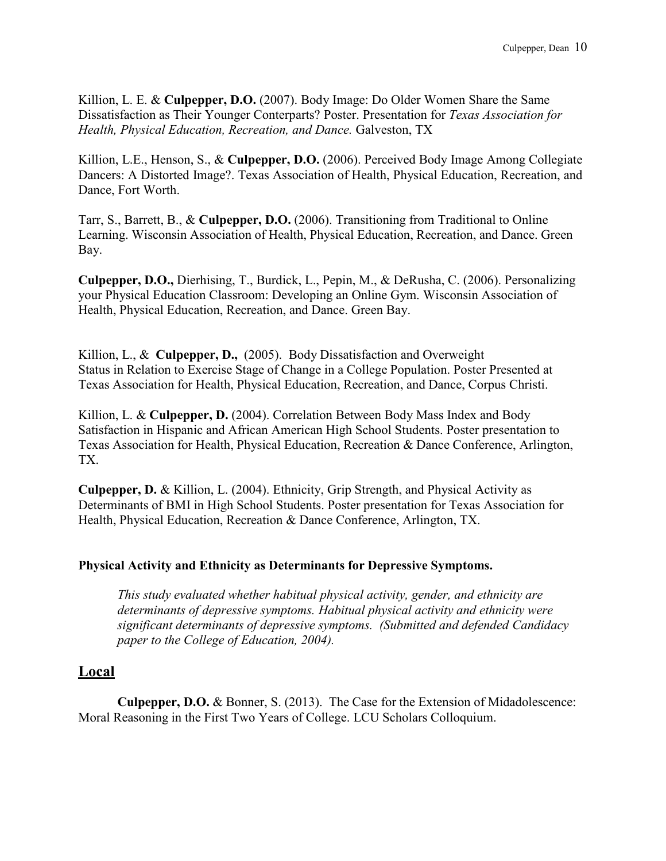Killion, L. E. & **Culpepper, D.O.** (2007). Body Image: Do Older Women Share the Same Dissatisfaction as Their Younger Conterparts? Poster. Presentation for *Texas Association for Health, Physical Education, Recreation, and Dance.* Galveston, TX

Killion, L.E., Henson, S., & **Culpepper, D.O.** (2006). Perceived Body Image Among Collegiate Dancers: A Distorted Image?. Texas Association of Health, Physical Education, Recreation, and Dance, Fort Worth.

Tarr, S., Barrett, B., & **Culpepper, D.O.** (2006). Transitioning from Traditional to Online Learning. Wisconsin Association of Health, Physical Education, Recreation, and Dance. Green Bay.

**Culpepper, D.O.,** Dierhising, T., Burdick, L., Pepin, M., & DeRusha, C. (2006). Personalizing your Physical Education Classroom: Developing an Online Gym. Wisconsin Association of Health, Physical Education, Recreation, and Dance. Green Bay.

Killion, L., & **Culpepper, D.,** (2005). Body Dissatisfaction and Overweight Status in Relation to Exercise Stage of Change in a College Population. Poster Presented at Texas Association for Health, Physical Education, Recreation, and Dance, Corpus Christi.

Killion, L. & **Culpepper, D.** (2004). Correlation Between Body Mass Index and Body Satisfaction in Hispanic and African American High School Students. Poster presentation to Texas Association for Health, Physical Education, Recreation & Dance Conference, Arlington, TX.

**Culpepper, D.** & Killion, L. (2004). Ethnicity, Grip Strength, and Physical Activity as Determinants of BMI in High School Students. Poster presentation for Texas Association for Health, Physical Education, Recreation & Dance Conference, Arlington, TX.

## **Physical Activity and Ethnicity as Determinants for Depressive Symptoms.**

*This study evaluated whether habitual physical activity, gender, and ethnicity are determinants of depressive symptoms. Habitual physical activity and ethnicity were significant determinants of depressive symptoms. (Submitted and defended Candidacy paper to the College of Education, 2004).*

# **Local**

**Culpepper, D.O.** & Bonner, S. (2013). The Case for the Extension of Midadolescence: Moral Reasoning in the First Two Years of College. LCU Scholars Colloquium.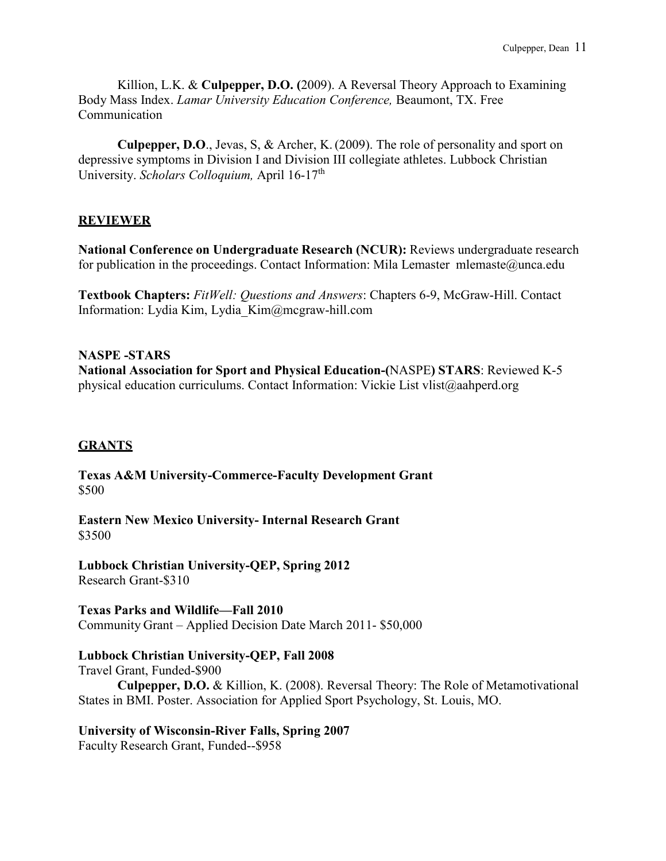Killion, L.K. & **Culpepper, D.O. (**2009). A Reversal Theory Approach to Examining Body Mass Index. *Lamar University Education Conference,* Beaumont, TX. Free Communication

**Culpepper, D.O**., Jevas, S, & Archer, K. (2009). The role of personality and sport on depressive symptoms in Division I and Division III collegiate athletes. Lubbock Christian University. *Scholars Colloquium*, April 16-17<sup>th</sup>

## **REVIEWER**

**National Conference on Undergraduate Research (NCUR):** Reviews undergraduate research for publication in the proceedings. Contact Information: Mila Lemaster [mlemaste@unca.edu](mailto:mlemaste@unca.edu)

**Textbook Chapters:** *FitWell: Questions and Answers*: Chapters 6-9, McGraw-Hill. Contact Information: Lydia Kim, [Lydia\\_Kim@mcgraw-hill.com](mailto:Lydia_Kim@mcgraw-hill.com)

**NASPE -STARS National Association for Sport and Physical Education-(**NASPE**) STARS**: Reviewed K-5 physical education curriculums. Contact Information: Vickie List [vlist@aahperd.org](mailto:vlist@aahperd.org)

## **GRANTS**

**Texas A&M University-Commerce-Faculty Development Grant** \$500

**Eastern New Mexico University- Internal Research Grant** \$3500

**Lubbock Christian University-QEP, Spring 2012** Research Grant-\$310

**Texas Parks and Wildlife—Fall 2010** Community Grant – Applied Decision Date March 2011- \$50,000

## **Lubbock Christian University-QEP, Fall 2008**

Travel Grant, Funded-\$900 **Culpepper, D.O.** & Killion, K. (2008). Reversal Theory: The Role of Metamotivational States in BMI. Poster. Association for Applied Sport Psychology, St. Louis, MO.

**University of Wisconsin-River Falls, Spring 2007** Faculty Research Grant, Funded--\$958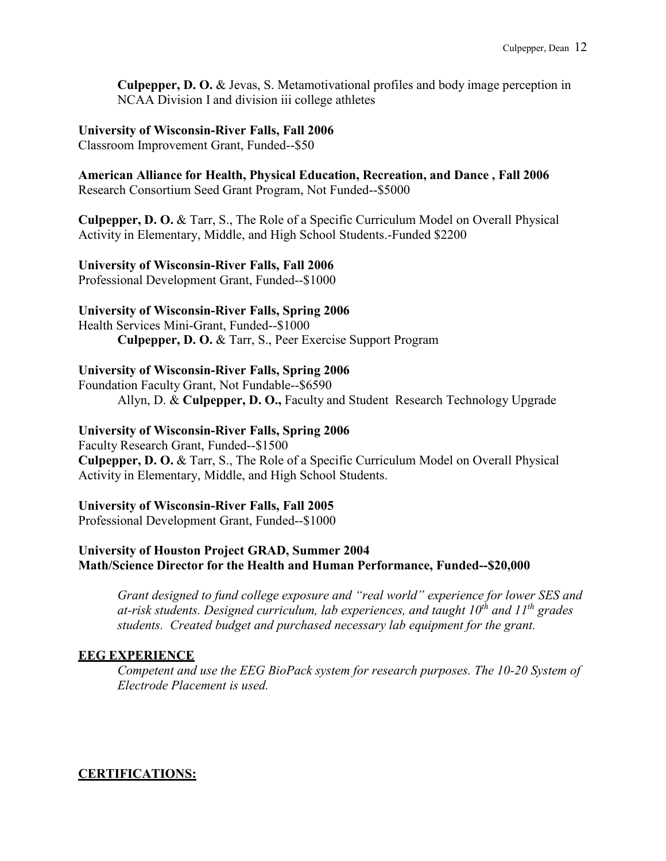**Culpepper, D. O.** & Jevas, S. Metamotivational profiles and body image perception in NCAA Division I and division iii college athletes

#### **University of Wisconsin-River Falls, Fall 2006**

Classroom Improvement Grant, Funded--\$50

**American Alliance for Health, Physical Education, Recreation, and Dance , Fall 2006**

Research Consortium Seed Grant Program, Not Funded--\$5000

**Culpepper, D. O.** & Tarr, S., The Role of a Specific Curriculum Model on Overall Physical Activity in Elementary, Middle, and High School Students.-Funded \$2200

## **University of Wisconsin-River Falls, Fall 2006**

Professional Development Grant, Funded--\$1000

## **University of Wisconsin-River Falls, Spring 2006**

Health Services Mini-Grant, Funded--\$1000 **Culpepper, D. O.** & Tarr, S., Peer Exercise Support Program

# **University of Wisconsin-River Falls, Spring 2006**

Foundation Faculty Grant, Not Fundable--\$6590 Allyn, D. & **Culpepper, D. O.,** Faculty and Student Research Technology Upgrade

# **University of Wisconsin-River Falls, Spring 2006**

Faculty Research Grant, Funded--\$1500 **Culpepper, D. O.** & Tarr, S., The Role of a Specific Curriculum Model on Overall Physical Activity in Elementary, Middle, and High School Students.

## **University of Wisconsin-River Falls, Fall 2005**

Professional Development Grant, Funded--\$1000

# **University of Houston Project GRAD, Summer 2004 Math/Science Director for the Health and Human Performance, Funded--\$20,000**

*Grant designed to fund college exposure and "real world" experience for lower SES and at-risk students. Designed curriculum, lab experiences, and taught 10th and 11th grades students. Created budget and purchased necessary lab equipment for the grant.*

## **EEG EXPERIENCE**

*Competent and use the EEG BioPack system for research purposes. The 10-20 System of Electrode Placement is used.*

# **CERTIFICATIONS:**